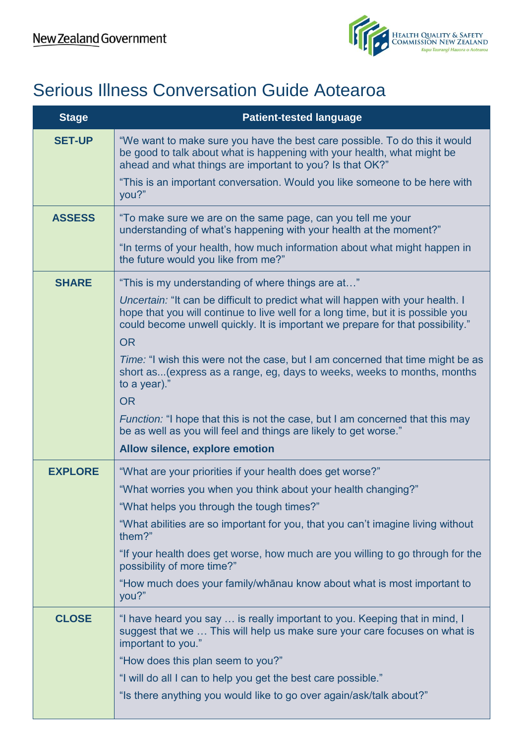$\mathbf{I}$ 



## Serious Illness Conversation Guide Aotearoa

| <b>Stage</b>   | <b>Patient-tested language</b>                                                                                                                                                                                                                        |
|----------------|-------------------------------------------------------------------------------------------------------------------------------------------------------------------------------------------------------------------------------------------------------|
| <b>SET-UP</b>  | "We want to make sure you have the best care possible. To do this it would<br>be good to talk about what is happening with your health, what might be<br>ahead and what things are important to you? Is that OK?"                                     |
|                | "This is an important conversation. Would you like someone to be here with<br>you?"                                                                                                                                                                   |
| <b>ASSESS</b>  | "To make sure we are on the same page, can you tell me your<br>understanding of what's happening with your health at the moment?"                                                                                                                     |
|                | "In terms of your health, how much information about what might happen in<br>the future would you like from me?"                                                                                                                                      |
| <b>SHARE</b>   | "This is my understanding of where things are at"                                                                                                                                                                                                     |
|                | Uncertain: "It can be difficult to predict what will happen with your health. I<br>hope that you will continue to live well for a long time, but it is possible you<br>could become unwell quickly. It is important we prepare for that possibility." |
|                | <b>OR</b>                                                                                                                                                                                                                                             |
|                | Time: "I wish this were not the case, but I am concerned that time might be as<br>short as (express as a range, eg, days to weeks, weeks to months, months<br>to a year)."                                                                            |
|                | <b>OR</b>                                                                                                                                                                                                                                             |
|                | <i>Function:</i> "I hope that this is not the case, but I am concerned that this may<br>be as well as you will feel and things are likely to get worse."                                                                                              |
|                | Allow silence, explore emotion                                                                                                                                                                                                                        |
| <b>EXPLORE</b> | "What are your priorities if your health does get worse?"                                                                                                                                                                                             |
|                | "What worries you when you think about your health changing?"                                                                                                                                                                                         |
|                | "What helps you through the tough times?"                                                                                                                                                                                                             |
|                | "What abilities are so important for you, that you can't imagine living without<br>them?"                                                                                                                                                             |
|                | "If your health does get worse, how much are you willing to go through for the<br>possibility of more time?"                                                                                                                                          |
|                | "How much does your family/whānau know about what is most important to<br>you?"                                                                                                                                                                       |
| <b>CLOSE</b>   | "I have heard you say  is really important to you. Keeping that in mind, I<br>suggest that we  This will help us make sure your care focuses on what is<br>important to you."                                                                         |
|                | "How does this plan seem to you?"                                                                                                                                                                                                                     |
|                | "I will do all I can to help you get the best care possible."                                                                                                                                                                                         |
|                | "Is there anything you would like to go over again/ask/talk about?"                                                                                                                                                                                   |